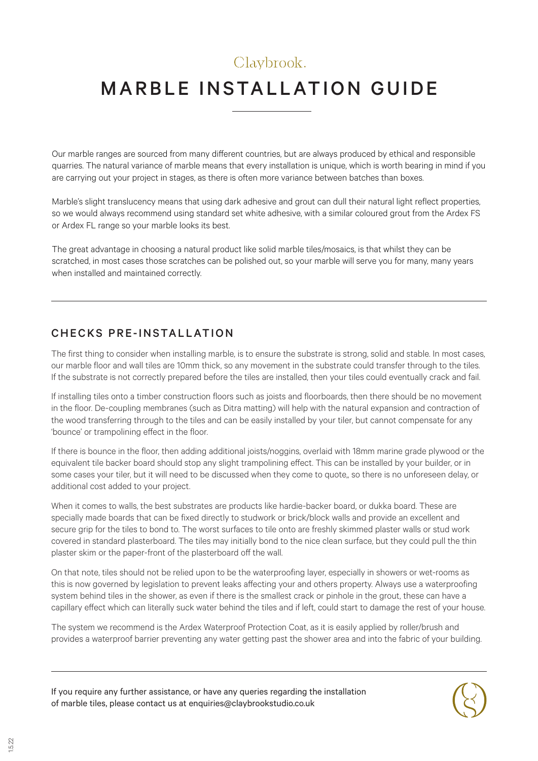## Claybrook.

# MARBLE INSTALLATION GUIDE

Our marble ranges are sourced from many different countries, but are always produced by ethical and responsible quarries. The natural variance of marble means that every installation is unique, which is worth bearing in mind if you are carrying out your project in stages, as there is often more variance between batches than boxes.

Marble's slight translucency means that using dark adhesive and grout can dull their natural light reflect properties, so we would always recommend using standard set white adhesive, with a similar coloured grout from the Ardex FS or Ardex FL range so your marble looks its best.

The great advantage in choosing a natural product like solid marble tiles/mosaics, is that whilst they can be scratched, in most cases those scratches can be polished out, so your marble will serve you for many, many years when installed and maintained correctly.

### CHECKS PRE-INSTALLATION

The first thing to consider when installing marble, is to ensure the substrate is strong, solid and stable. In most cases, our marble floor and wall tiles are 10mm thick, so any movement in the substrate could transfer through to the tiles. If the substrate is not correctly prepared before the tiles are installed, then your tiles could eventually crack and fail.

If installing tiles onto a timber construction floors such as joists and floorboards, then there should be no movement in the floor. De-coupling membranes (such as Ditra matting) will help with the natural expansion and contraction of the wood transferring through to the tiles and can be easily installed by your tiler, but cannot compensate for any 'bounce' or trampolining effect in the floor.

If there is bounce in the floor, then adding additional joists/noggins, overlaid with 18mm marine grade plywood or the equivalent tile backer board should stop any slight trampolining effect. This can be installed by your builder, or in some cases your tiler, but it will need to be discussed when they come to quote,, so there is no unforeseen delay, or additional cost added to your project.

When it comes to walls, the best substrates are products like hardie-backer board, or dukka board. These are specially made boards that can be fixed directly to studwork or brick/block walls and provide an excellent and secure grip for the tiles to bond to. The worst surfaces to tile onto are freshly skimmed plaster walls or stud work covered in standard plasterboard. The tiles may initially bond to the nice clean surface, but they could pull the thin plaster skim or the paper-front of the plasterboard off the wall.

On that note, tiles should not be relied upon to be the waterproofing layer, especially in showers or wet-rooms as this is now governed by legislation to prevent leaks affecting your and others property. Always use a waterproofing system behind tiles in the shower, as even if there is the smallest crack or pinhole in the grout, these can have a capillary effect which can literally suck water behind the tiles and if left, could start to damage the rest of your house.

The system we recommend is the Ardex Waterproof Protection Coat, as it is easily applied by roller/brush and provides a waterproof barrier preventing any water getting past the shower area and into the fabric of your building.

If you require any further assistance, or have any queries regarding the installation of marble tiles, please contact us at enquiries@claybrookstudio.co.uk

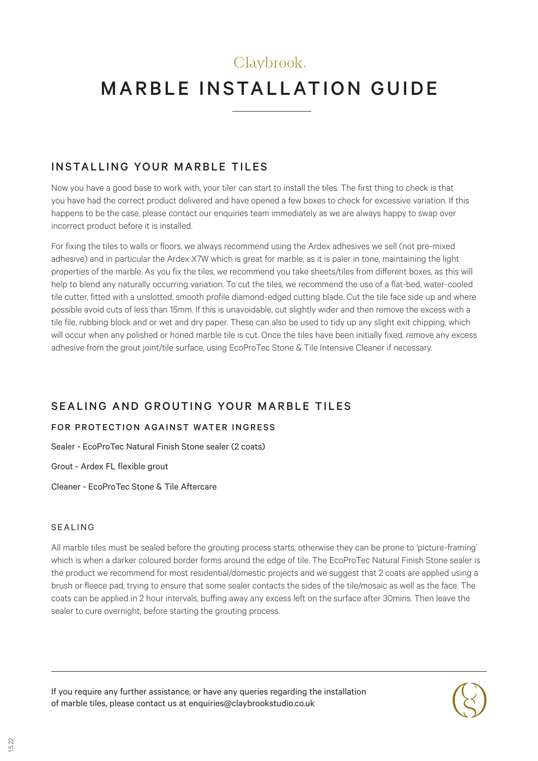# Claybrook. MARBLE INSTALLATION GUIDE

### INSTALLING YOUR MARBLE TILES

Now you have a good base to work with, your tiler can start to install the tiles. The first thing to check is that you have had the correct product delivered and have opened a few boxes to check for excessive variation. If this happens to be the case, please contact our enquiries team immediately as we are always happy to swap over incorrect product before it is installed.

For fixing the tiles to walls or floors, we always recommend using the Ardex adhesives we sell (not pre-mixed adhesive) and in particular the Ardex X7W which is great for marble, as it is paler in tone, maintaining the light properties of the marble. As you fix the tiles, we recommend you take sheets/tiles from different boxes, as this will help to blend any naturally occurring variation. To cut the tiles, we recommend the use of a flat-bed, water-cooled tile cutter, fitted with a unslotted, smooth profile diamond-edged cutting blade. Cut the tile face side up and where possible avoid cuts of less than 15mm. If this is unavoidable, cut slightly wider and then remove the excess with a tile file, rubbing block and or wet and dry paper. These can also be used to tidy up any slight exit chipping, which will occur when any polished or honed marble tile is cut. Once the tiles have been initially fixed, remove any excess adhesive from the grout joint/tile surface, using EcoProTec Stone & Tile Intensive Cleaner if necessary.

### SEALING AND GROUTING YOUR MARBLE TILES

#### FOR PROTECTION AGAINST WATER INGRESS

Sealer - EcoProTec Natural Finish Stone sealer (2 coats)

Grout - Ardex FL flexible grout

Cleaner - EcoProTec Stone & Tile Aftercare

#### SEALING

All marble tiles must be sealed before the grouting process starts, otherwise they can be prone to 'picture-framing' which is when a darker coloured border forms around the edge of tile. The EcoProTec Natural Finish Stone sealer is the product we recommend for most residential/domestic projects and we suggest that 2 coats are applied using a brush or fleece pad, trying to ensure that some sealer contacts the sides of the tile/mosaic as well as the face. The coats can be applied in 2 hour intervals, buffing away any excess left on the surface after 30mins. Then leave the sealer to cure overnight, before starting the grouting process.

If you require any further assistance, or have any queries regarding the installation of marble tiles, please contact us at enquiries@claybrookstudio.co.uk